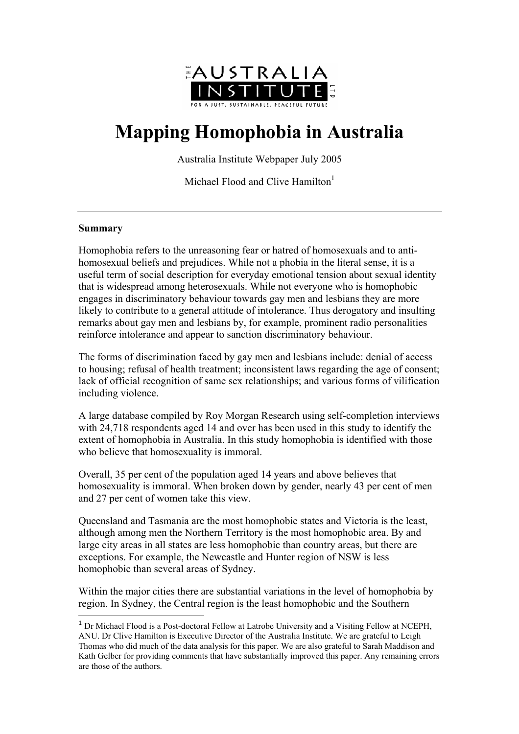

# **Mapping Homophobia in Australia**

Australia Institute Webpaper July 2005

Michael Flood and Clive Hamilton<sup>1</sup>

#### **Summary**

1

Homophobia refers to the unreasoning fear or hatred of homosexuals and to antihomosexual beliefs and prejudices. While not a phobia in the literal sense, it is a useful term of social description for everyday emotional tension about sexual identity that is widespread among heterosexuals. While not everyone who is homophobic engages in discriminatory behaviour towards gay men and lesbians they are more likely to contribute to a general attitude of intolerance. Thus derogatory and insulting remarks about gay men and lesbians by, for example, prominent radio personalities reinforce intolerance and appear to sanction discriminatory behaviour.

The forms of discrimination faced by gay men and lesbians include: denial of access to housing; refusal of health treatment; inconsistent laws regarding the age of consent; lack of official recognition of same sex relationships; and various forms of vilification including violence.

A large database compiled by Roy Morgan Research using self-completion interviews with 24,718 respondents aged 14 and over has been used in this study to identify the extent of homophobia in Australia. In this study homophobia is identified with those who believe that homosexuality is immoral.

Overall, 35 per cent of the population aged 14 years and above believes that homosexuality is immoral. When broken down by gender, nearly 43 per cent of men and 27 per cent of women take this view.

Queensland and Tasmania are the most homophobic states and Victoria is the least, although among men the Northern Territory is the most homophobic area. By and large city areas in all states are less homophobic than country areas, but there are exceptions. For example, the Newcastle and Hunter region of NSW is less homophobic than several areas of Sydney.

Within the major cities there are substantial variations in the level of homophobia by region. In Sydney, the Central region is the least homophobic and the Southern

<sup>&</sup>lt;sup>1</sup> Dr Michael Flood is a Post-doctoral Fellow at Latrobe University and a Visiting Fellow at NCEPH, ANU. Dr Clive Hamilton is Executive Director of the Australia Institute. We are grateful to Leigh Thomas who did much of the data analysis for this paper. We are also grateful to Sarah Maddison and Kath Gelber for providing comments that have substantially improved this paper. Any remaining errors are those of the authors.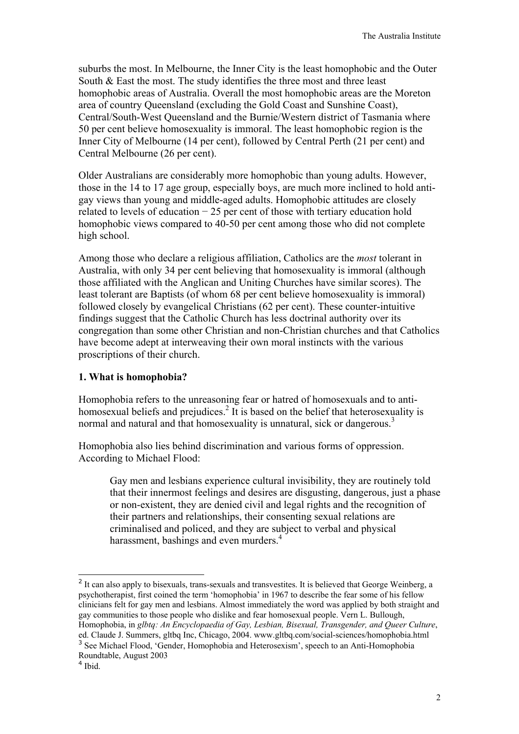suburbs the most. In Melbourne, the Inner City is the least homophobic and the Outer South & East the most. The study identifies the three most and three least homophobic areas of Australia. Overall the most homophobic areas are the Moreton area of country Queensland (excluding the Gold Coast and Sunshine Coast), Central/South-West Queensland and the Burnie/Western district of Tasmania where 50 per cent believe homosexuality is immoral. The least homophobic region is the Inner City of Melbourne (14 per cent), followed by Central Perth (21 per cent) and Central Melbourne (26 per cent).

Older Australians are considerably more homophobic than young adults. However, those in the 14 to 17 age group, especially boys, are much more inclined to hold antigay views than young and middle-aged adults. Homophobic attitudes are closely related to levels of education − 25 per cent of those with tertiary education hold homophobic views compared to 40-50 per cent among those who did not complete high school.

Among those who declare a religious affiliation, Catholics are the *most* tolerant in Australia, with only 34 per cent believing that homosexuality is immoral (although those affiliated with the Anglican and Uniting Churches have similar scores). The least tolerant are Baptists (of whom 68 per cent believe homosexuality is immoral) followed closely by evangelical Christians (62 per cent). These counter-intuitive findings suggest that the Catholic Church has less doctrinal authority over its congregation than some other Christian and non-Christian churches and that Catholics have become adept at interweaving their own moral instincts with the various proscriptions of their church.

## **1. What is homophobia?**

Homophobia refers to the unreasoning fear or hatred of homosexuals and to antihomosexual beliefs and prejudices.<sup>2</sup> It is based on the belief that heterosexuality is normal and natural and that homosexuality is unnatural, sick or dangerous.<sup>3</sup>

Homophobia also lies behind discrimination and various forms of oppression. According to Michael Flood:

Gay men and lesbians experience cultural invisibility, they are routinely told that their innermost feelings and desires are disgusting, dangerous, just a phase or non-existent, they are denied civil and legal rights and the recognition of their partners and relationships, their consenting sexual relations are criminalised and policed, and they are subject to verbal and physical harassment, bashings and even murders.<sup>4</sup>

1

<sup>&</sup>lt;sup>2</sup> It can also apply to bisexuals, trans-sexuals and transvestites. It is believed that George Weinberg, a psychotherapist, first coined the term 'homophobia' in 1967 to describe the fear some of his fellow clinicians felt for gay men and lesbians. Almost immediately the word was applied by both straight and gay communities to those people who dislike and fear homosexual people. Vern L. Bullough, Homophobia, in *glbtq: An Encyclopaedia of Gay, Lesbian, Bisexual, Transgender, and Queer Culture*, ed. Claude J. Summers, gltbq Inc, Chicago, 2004. www.gltbq.com/social-sciences/homophobia.html <sup>3</sup> See Michael Flood, 'Gender, Homophobia and Heterosexism', speech to an Anti-Homophobia

Roundtable, August 2003

<sup>&</sup>lt;sup>4</sup> Ibid.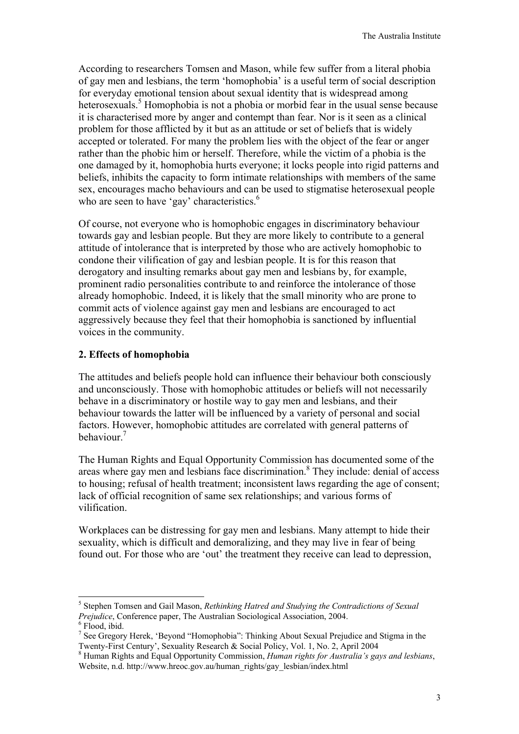According to researchers Tomsen and Mason, while few suffer from a literal phobia of gay men and lesbians, the term 'homophobia' is a useful term of social description for everyday emotional tension about sexual identity that is widespread among heterosexuals.<sup>5</sup> Homophobia is not a phobia or morbid fear in the usual sense because it is characterised more by anger and contempt than fear. Nor is it seen as a clinical problem for those afflicted by it but as an attitude or set of beliefs that is widely accepted or tolerated. For many the problem lies with the object of the fear or anger rather than the phobic him or herself. Therefore, while the victim of a phobia is the one damaged by it, homophobia hurts everyone; it locks people into rigid patterns and beliefs, inhibits the capacity to form intimate relationships with members of the same sex, encourages macho behaviours and can be used to stigmatise heterosexual people who are seen to have 'gay' characteristics.<sup>6</sup>

Of course, not everyone who is homophobic engages in discriminatory behaviour towards gay and lesbian people. But they are more likely to contribute to a general attitude of intolerance that is interpreted by those who are actively homophobic to condone their vilification of gay and lesbian people. It is for this reason that derogatory and insulting remarks about gay men and lesbians by, for example, prominent radio personalities contribute to and reinforce the intolerance of those already homophobic. Indeed, it is likely that the small minority who are prone to commit acts of violence against gay men and lesbians are encouraged to act aggressively because they feel that their homophobia is sanctioned by influential voices in the community.

#### **2. Effects of homophobia**

The attitudes and beliefs people hold can influence their behaviour both consciously and unconsciously. Those with homophobic attitudes or beliefs will not necessarily behave in a discriminatory or hostile way to gay men and lesbians, and their behaviour towards the latter will be influenced by a variety of personal and social factors. However, homophobic attitudes are correlated with general patterns of behaviour.<sup>7</sup>

The Human Rights and Equal Opportunity Commission has documented some of the areas where gay men and lesbians face discrimination. $\delta$  They include: denial of access to housing; refusal of health treatment; inconsistent laws regarding the age of consent; lack of official recognition of same sex relationships; and various forms of vilification.

Workplaces can be distressing for gay men and lesbians. Many attempt to hide their sexuality, which is difficult and demoralizing, and they may live in fear of being found out. For those who are 'out' the treatment they receive can lead to depression,

<sup>5</sup> Stephen Tomsen and Gail Mason, *Rethinking Hatred and Studying the Contradictions of Sexual Prejudice*, Conference paper, The Australian Sociological Association, 2004.  $6$  Flood, ibid.

<sup>&</sup>lt;sup>7</sup> See Gregory Herek, 'Beyond "Homophobia": Thinking About Sexual Prejudice and Stigma in the Twenty-First Century', Sexuality Research & Social Policy, Vol. 1, No. 2, April 2004 8

Human Rights and Equal Opportunity Commission, *Human rights for Australia's gays and lesbians*, Website, n.d. http://www.hreoc.gov.au/human\_rights/gay\_lesbian/index.html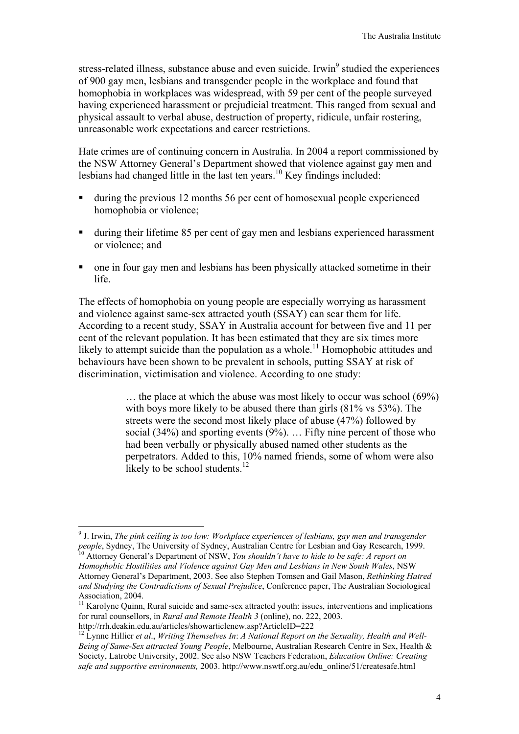stress-related illness, substance abuse and even suicide. Irwin<sup>9</sup> studied the experiences of 900 gay men, lesbians and transgender people in the workplace and found that homophobia in workplaces was widespread, with 59 per cent of the people surveyed having experienced harassment or prejudicial treatment. This ranged from sexual and physical assault to verbal abuse, destruction of property, ridicule, unfair rostering, unreasonable work expectations and career restrictions.

Hate crimes are of continuing concern in Australia. In 2004 a report commissioned by the NSW Attorney General's Department showed that violence against gay men and lesbians had changed little in the last ten years.<sup>10</sup> Key findings included:

- during the previous 12 months 56 per cent of homosexual people experienced homophobia or violence;
- during their lifetime 85 per cent of gay men and lesbians experienced harassment or violence; and
- one in four gay men and lesbians has been physically attacked sometime in their life.

The effects of homophobia on young people are especially worrying as harassment and violence against same-sex attracted youth (SSAY) can scar them for life. According to a recent study, SSAY in Australia account for between five and 11 per cent of the relevant population. It has been estimated that they are six times more likely to attempt suicide than the population as a whole.<sup>11</sup> Homophobic attitudes and behaviours have been shown to be prevalent in schools, putting SSAY at risk of discrimination, victimisation and violence. According to one study:

> … the place at which the abuse was most likely to occur was school (69%) with boys more likely to be abused there than girls  $(81\% \text{ vs } 53\%)$ . The streets were the second most likely place of abuse (47%) followed by social  $(34\%)$  and sporting events  $(9\%)$ . ... Fifty nine percent of those who had been verbally or physically abused named other students as the perpetrators. Added to this, 10% named friends, some of whom were also likely to be school students. $^{12}$

 9 J. Irwin, *The pink ceiling is too low: Workplace experiences of lesbians, gay men and transgender people*, Sydney, The University of Sydney, Australian Centre for Lesbian and Gay Research, 1999.<br><sup>10</sup> Attorney General's Department of NSW, *You shouldn't have to hide to be safe: A report on* 

*Homophobic Hostilities and Violence against Gay Men and Lesbians in New South Wales*, NSW Attorney General's Department, 2003. See also Stephen Tomsen and Gail Mason, *Rethinking Hatred and Studying the Contradictions of Sexual Prejudice*, Conference paper, The Australian Sociological Association, 2004.

<sup>&</sup>lt;sup>11</sup> Karolyne Quinn, Rural suicide and same-sex attracted youth: issues, interventions and implications for rural counsellors, in *Rural and Remote Health 3* (online), no. 222, 2003.

<sup>&</sup>lt;sup>12</sup> Lynne Hillier *et al., Writing Themselves In: A National Report on the Sexuality, Health and Well-Being of Same-Sex attracted Young People*, Melbourne, Australian Research Centre in Sex, Health & Society, Latrobe University, 2002. See also NSW Teachers Federation, *Education Online: Creating safe and supportive environments,* 2003. http://www.nswtf.org.au/edu\_online/51/createsafe.html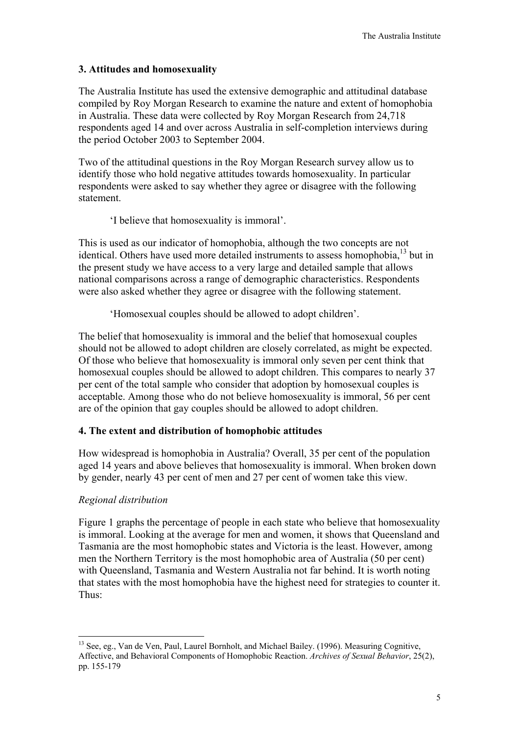## **3. Attitudes and homosexuality**

The Australia Institute has used the extensive demographic and attitudinal database compiled by Roy Morgan Research to examine the nature and extent of homophobia in Australia. These data were collected by Roy Morgan Research from 24,718 respondents aged 14 and over across Australia in self-completion interviews during the period October 2003 to September 2004.

Two of the attitudinal questions in the Roy Morgan Research survey allow us to identify those who hold negative attitudes towards homosexuality. In particular respondents were asked to say whether they agree or disagree with the following statement.

'I believe that homosexuality is immoral'.

This is used as our indicator of homophobia, although the two concepts are not identical. Others have used more detailed instruments to assess homophobia,<sup>13</sup> but in the present study we have access to a very large and detailed sample that allows national comparisons across a range of demographic characteristics. Respondents were also asked whether they agree or disagree with the following statement.

'Homosexual couples should be allowed to adopt children'.

The belief that homosexuality is immoral and the belief that homosexual couples should not be allowed to adopt children are closely correlated, as might be expected. Of those who believe that homosexuality is immoral only seven per cent think that homosexual couples should be allowed to adopt children. This compares to nearly 37 per cent of the total sample who consider that adoption by homosexual couples is acceptable. Among those who do not believe homosexuality is immoral, 56 per cent are of the opinion that gay couples should be allowed to adopt children.

# **4. The extent and distribution of homophobic attitudes**

How widespread is homophobia in Australia? Overall, 35 per cent of the population aged 14 years and above believes that homosexuality is immoral. When broken down by gender, nearly 43 per cent of men and 27 per cent of women take this view.

# *Regional distribution*

1

Figure 1 graphs the percentage of people in each state who believe that homosexuality is immoral. Looking at the average for men and women, it shows that Queensland and Tasmania are the most homophobic states and Victoria is the least. However, among men the Northern Territory is the most homophobic area of Australia (50 per cent) with Queensland, Tasmania and Western Australia not far behind. It is worth noting that states with the most homophobia have the highest need for strategies to counter it. Thus:

<sup>&</sup>lt;sup>13</sup> See, eg., Van de Ven, Paul, Laurel Bornholt, and Michael Bailey. (1996). Measuring Cognitive, Affective, and Behavioral Components of Homophobic Reaction. *Archives of Sexual Behavior*, 25(2), pp. 155-179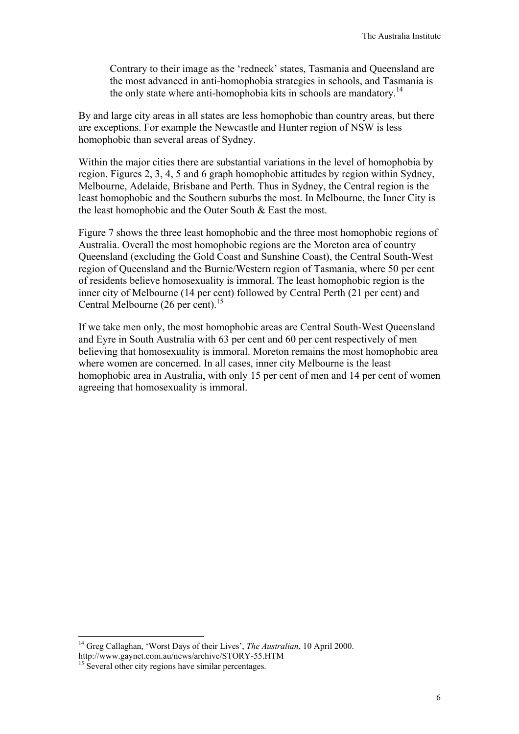Contrary to their image as the 'redneck' states, Tasmania and Queensland are the most advanced in anti-homophobia strategies in schools, and Tasmania is the only state where anti-homophobia kits in schools are mandatory.<sup>14</sup>

By and large city areas in all states are less homophobic than country areas, but there are exceptions. For example the Newcastle and Hunter region of NSW is less homophobic than several areas of Sydney.

Within the major cities there are substantial variations in the level of homophobia by region. Figures 2, 3, 4, 5 and 6 graph homophobic attitudes by region within Sydney, Melbourne, Adelaide, Brisbane and Perth. Thus in Sydney, the Central region is the least homophobic and the Southern suburbs the most. In Melbourne, the Inner City is the least homophobic and the Outer South & East the most.

Figure 7 shows the three least homophobic and the three most homophobic regions of Australia. Overall the most homophobic regions are the Moreton area of country Queensland (excluding the Gold Coast and Sunshine Coast), the Central South-West region of Queensland and the Burnie/Western region of Tasmania, where 50 per cent of residents believe homosexuality is immoral. The least homophobic region is the inner city of Melbourne (14 per cent) followed by Central Perth (21 per cent) and Central Melbourne (26 per cent).<sup>15</sup>

If we take men only, the most homophobic areas are Central South-West Queensland and Eyre in South Australia with 63 per cent and 60 per cent respectively of men believing that homosexuality is immoral. Moreton remains the most homophobic area where women are concerned. In all cases, inner city Melbourne is the least homophobic area in Australia, with only 15 per cent of men and 14 per cent of women agreeing that homosexuality is immoral.

1

<sup>&</sup>lt;sup>14</sup> Greg Callaghan, 'Worst Days of their Lives', *The Australian*, 10 April 2000.<br>http://www.gaynet.com.au/news/archive/STORY-55.HTM

 $\frac{15}{15}$  Several other city regions have similar percentages.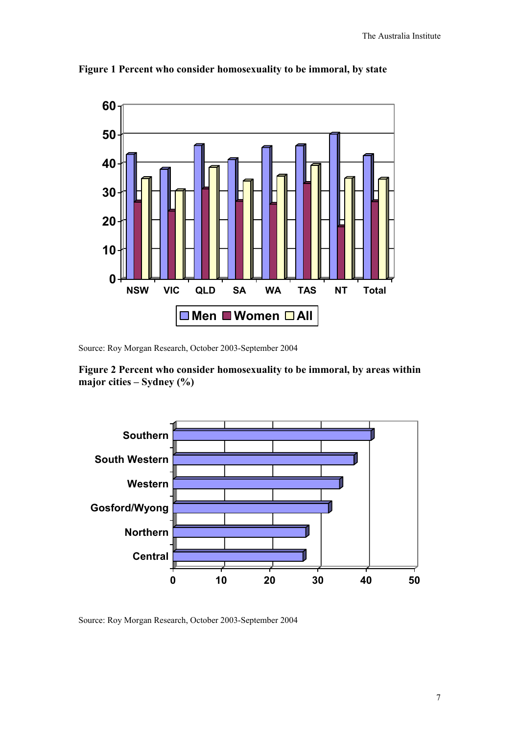

**Figure 1 Percent who consider homosexuality to be immoral, by state** 

Source: Roy Morgan Research, October 2003-September 2004





Source: Roy Morgan Research, October 2003-September 2004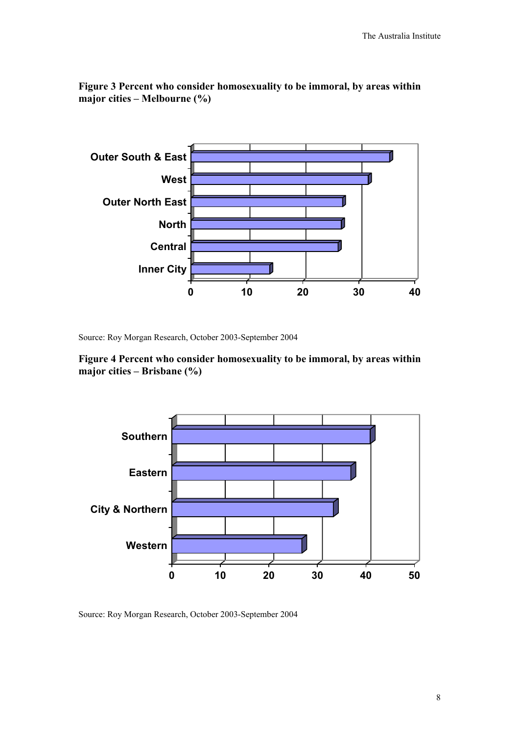

**Figure 3 Percent who consider homosexuality to be immoral, by areas within major cities – Melbourne (%)** 

Source: Roy Morgan Research, October 2003-September 2004

#### **Figure 4 Percent who consider homosexuality to be immoral, by areas within major cities – Brisbane (%)**



Source: Roy Morgan Research, October 2003-September 2004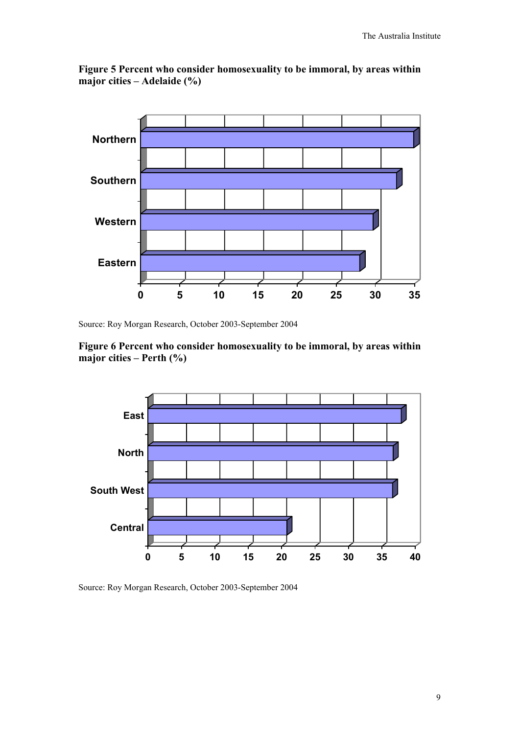

**Figure 5 Percent who consider homosexuality to be immoral, by areas within major cities – Adelaide (%)** 

Source: Roy Morgan Research, October 2003-September 2004





Source: Roy Morgan Research, October 2003-September 2004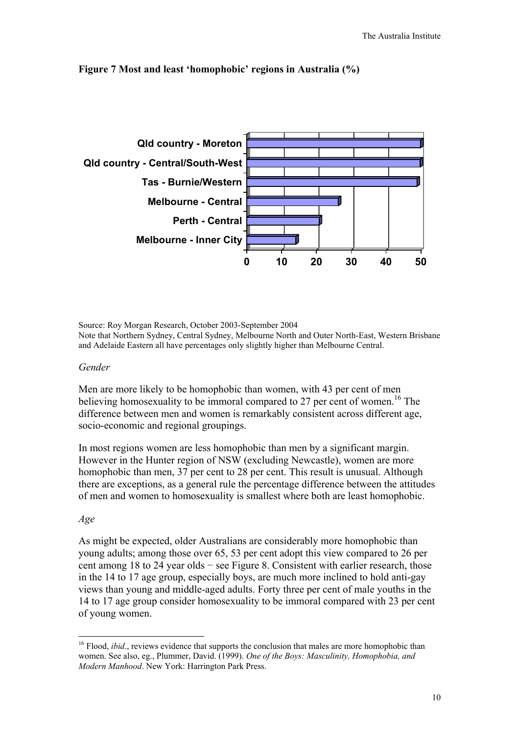

## **Figure 7 Most and least 'homophobic' regions in Australia (%)**

Source: Roy Morgan Research, October 2003-September 2004

Note that Northern Sydney, Central Sydney, Melbourne North and Outer North-East, Western Brisbane and Adelaide Eastern all have percentages only slightly higher than Melbourne Central.

#### *Gender*

Men are more likely to be homophobic than women, with 43 per cent of men believing homosexuality to be immoral compared to 27 per cent of women.<sup>16</sup> The difference between men and women is remarkably consistent across different age, socio-economic and regional groupings.

In most regions women are less homophobic than men by a significant margin. However in the Hunter region of NSW (excluding Newcastle), women are more homophobic than men, 37 per cent to 28 per cent. This result is unusual. Although there are exceptions, as a general rule the percentage difference between the attitudes of men and women to homosexuality is smallest where both are least homophobic.

#### *Age*

1

As might be expected, older Australians are considerably more homophobic than young adults; among those over 65, 53 per cent adopt this view compared to 26 per cent among 18 to 24 year olds − see Figure 8. Consistent with earlier research, those in the 14 to 17 age group, especially boys, are much more inclined to hold anti-gay views than young and middle-aged adults. Forty three per cent of male youths in the 14 to 17 age group consider homosexuality to be immoral compared with 23 per cent of young women.

<sup>&</sup>lt;sup>16</sup> Flood, *ibid*, reviews evidence that supports the conclusion that males are more homophobic than women. See also, eg., Plummer, David. (1999). *One of the Boys: Masculinity, Homophobia, and Modern Manhood*. New York: Harrington Park Press.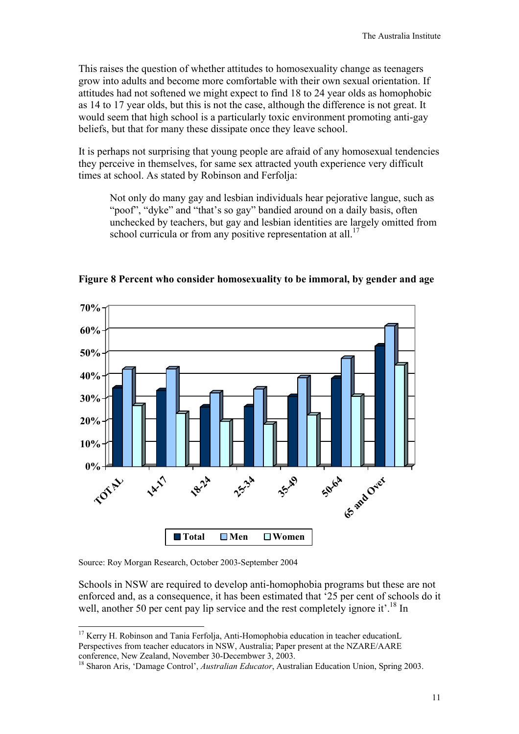This raises the question of whether attitudes to homosexuality change as teenagers grow into adults and become more comfortable with their own sexual orientation. If attitudes had not softened we might expect to find 18 to 24 year olds as homophobic as 14 to 17 year olds, but this is not the case, although the difference is not great. It would seem that high school is a particularly toxic environment promoting anti-gay beliefs, but that for many these dissipate once they leave school.

It is perhaps not surprising that young people are afraid of any homosexual tendencies they perceive in themselves, for same sex attracted youth experience very difficult times at school. As stated by Robinson and Ferfolja:

Not only do many gay and lesbian individuals hear pejorative langue, such as "poof", "dyke" and "that's so gay" bandied around on a daily basis, often unchecked by teachers, but gay and lesbian identities are largely omitted from school curricula or from any positive representation at all.<sup>17</sup>



**Figure 8 Percent who consider homosexuality to be immoral, by gender and age** 

Source: Roy Morgan Research, October 2003-September 2004

Schools in NSW are required to develop anti-homophobia programs but these are not enforced and, as a consequence, it has been estimated that '25 per cent of schools do it well, another 50 per cent pay lip service and the rest completely ignore it'.<sup>18</sup> In

<sup>&</sup>lt;sup>17</sup> Kerry H. Robinson and Tania Ferfolia, Anti-Homophobia education in teacher educationL Perspectives from teacher educators in NSW, Australia; Paper present at the NZARE/AARE

conference, New Zealand, November 30-Decembwer 3, 2003. 18 Sharon Aris, 'Damage Control', *Australian Educator*, Australian Education Union, Spring 2003.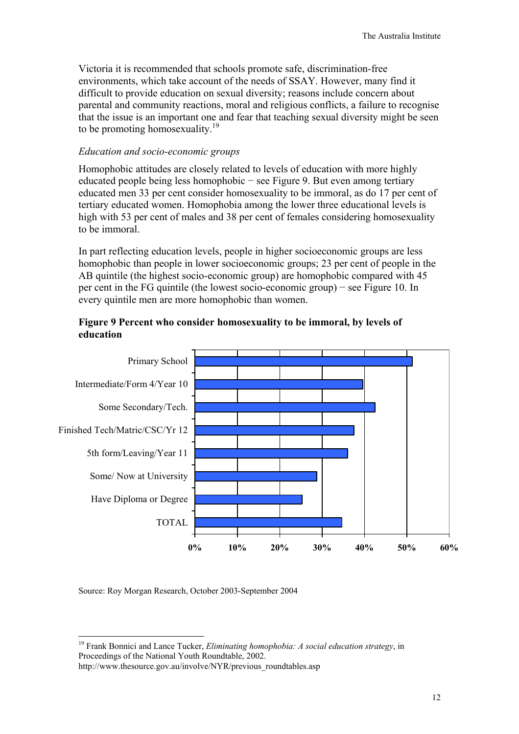Victoria it is recommended that schools promote safe, discrimination-free environments, which take account of the needs of SSAY. However, many find it difficult to provide education on sexual diversity; reasons include concern about parental and community reactions, moral and religious conflicts, a failure to recognise that the issue is an important one and fear that teaching sexual diversity might be seen to be promoting homosexuality.19

#### *Education and socio-economic groups*

Homophobic attitudes are closely related to levels of education with more highly educated people being less homophobic − see Figure 9. But even among tertiary educated men 33 per cent consider homosexuality to be immoral, as do 17 per cent of tertiary educated women. Homophobia among the lower three educational levels is high with 53 per cent of males and 38 per cent of females considering homosexuality to be immoral.

In part reflecting education levels, people in higher socioeconomic groups are less homophobic than people in lower socioeconomic groups; 23 per cent of people in the AB quintile (the highest socio-economic group) are homophobic compared with 45 per cent in the FG quintile (the lowest socio-economic group) − see Figure 10. In every quintile men are more homophobic than women.



## **Figure 9 Percent who consider homosexuality to be immoral, by levels of education**

Source: Roy Morgan Research, October 2003-September 2004

<sup>1</sup> 19 Frank Bonnici and Lance Tucker, *Eliminating homophobia: A social education strategy*, in Proceedings of the National Youth Roundtable, 2002.

http://www.thesource.gov.au/involve/NYR/previous\_roundtables.asp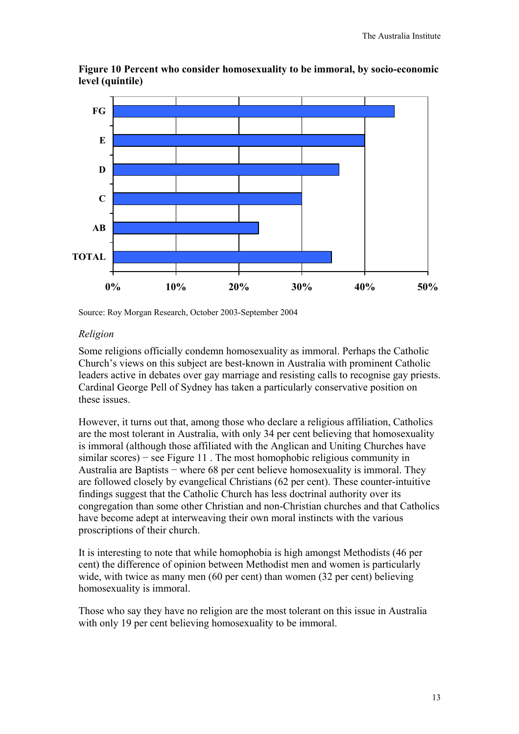

**Figure 10 Percent who consider homosexuality to be immoral, by socio-economic level (quintile)** 

Source: Roy Morgan Research, October 2003-September 2004

#### *Religion*

Some religions officially condemn homosexuality as immoral. Perhaps the Catholic Church's views on this subject are best-known in Australia with prominent Catholic leaders active in debates over gay marriage and resisting calls to recognise gay priests. Cardinal George Pell of Sydney has taken a particularly conservative position on these issues.

However, it turns out that, among those who declare a religious affiliation, Catholics are the most tolerant in Australia, with only 34 per cent believing that homosexuality is immoral (although those affiliated with the Anglican and Uniting Churches have similar scores) – see Figure 11. The most homophobic religious community in Australia are Baptists − where 68 per cent believe homosexuality is immoral. They are followed closely by evangelical Christians (62 per cent). These counter-intuitive findings suggest that the Catholic Church has less doctrinal authority over its congregation than some other Christian and non-Christian churches and that Catholics have become adept at interweaving their own moral instincts with the various proscriptions of their church.

It is interesting to note that while homophobia is high amongst Methodists (46 per cent) the difference of opinion between Methodist men and women is particularly wide, with twice as many men (60 per cent) than women (32 per cent) believing homosexuality is immoral.

Those who say they have no religion are the most tolerant on this issue in Australia with only 19 per cent believing homosexuality to be immoral.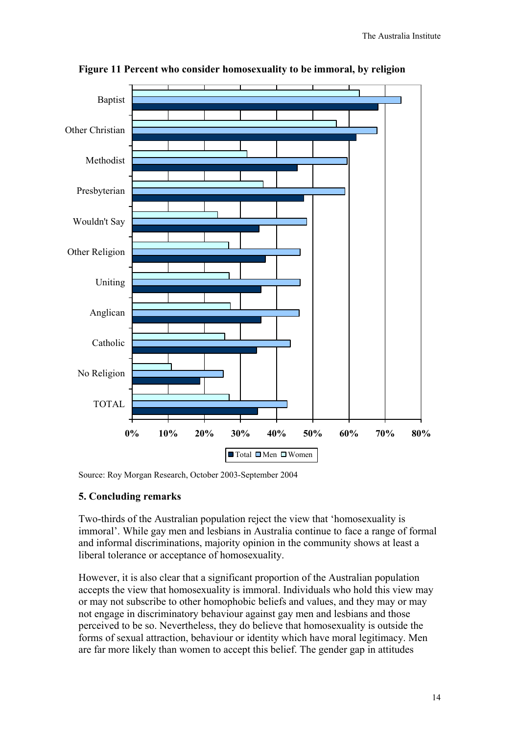

**Figure 11 Percent who consider homosexuality to be immoral, by religion** 

Source: Roy Morgan Research, October 2003-September 2004

#### **5. Concluding remarks**

Two-thirds of the Australian population reject the view that 'homosexuality is immoral'. While gay men and lesbians in Australia continue to face a range of formal and informal discriminations, majority opinion in the community shows at least a liberal tolerance or acceptance of homosexuality.

However, it is also clear that a significant proportion of the Australian population accepts the view that homosexuality is immoral. Individuals who hold this view may or may not subscribe to other homophobic beliefs and values, and they may or may not engage in discriminatory behaviour against gay men and lesbians and those perceived to be so. Nevertheless, they do believe that homosexuality is outside the forms of sexual attraction, behaviour or identity which have moral legitimacy. Men are far more likely than women to accept this belief. The gender gap in attitudes